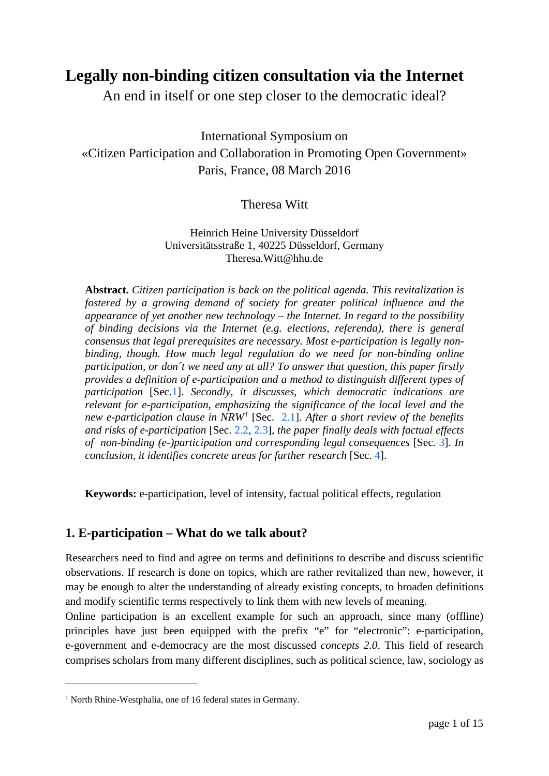# **Legally non-binding citizen consultation via the Internet**

An end in itself or one step closer to the democratic ideal?

International Symposium on «Citizen Participation and Collaboration in Promoting Open Government» Paris, France, 08 March 2016

# Theresa Witt

Heinrich Heine University Düsseldorf Universitätsstraße 1, 40225 Düsseldorf, Germany Theresa.Witt@hhu.de

**Abstract.** *Citizen participation is back on the political agenda. This revitalization is fostered by a growing demand of society for greater political influence and the appearance of yet another new technology – the Internet. In regard to the possibility of binding decisions via the Internet (e.g. elections, referenda), there is general consensus that legal prerequisites are necessary. Most e-participation is legally nonbinding, though. How much legal regulation do we need for non-binding online participation, or don´t we need any at all? To answer that question, this paper firstly provides a definition of e-participation and a method to distinguish different types of participation* [Sec[.1\]](#page-0-0). *Secondly, it discusses, which democratic indications are relevant for e-participation, emphasizing the significance of the local level and the new e-participation clause in NRW[1](#page-0-1)* [Sec. [2.1\]](#page-4-0)*. After a short review of the benefits and risks of e-participation* [Sec. [2.2,](#page-7-0) [2.3\]](#page-7-1)*, the paper finally deals with factual effects of non-binding (e-)participation and corresponding legal consequences* [Sec. [3\]](#page-7-1). *In conclusion, it identifies concrete areas for further research* [Sec. [4\]](#page-10-0).

**Keywords:** e-participation, level of intensity, factual political effects, regulation

# <span id="page-0-0"></span>**1. E-participation – What do we talk about?**

Researchers need to find and agree on terms and definitions to describe and discuss scientific observations. If research is done on topics, which are rather revitalized than new, however, it may be enough to alter the understanding of already existing concepts, to broaden definitions and modify scientific terms respectively to link them with new levels of meaning.

Online participation is an excellent example for such an approach, since many (offline) principles have just been equipped with the prefix "e" for "electronic": e-participation, e-government and e-democracy are the most discussed *concepts 2.0*. This field of research comprises scholars from many different disciplines, such as political science, law, sociology as

<span id="page-0-1"></span><sup>&</sup>lt;sup>1</sup> North Rhine-Westphalia, one of 16 federal states in Germany.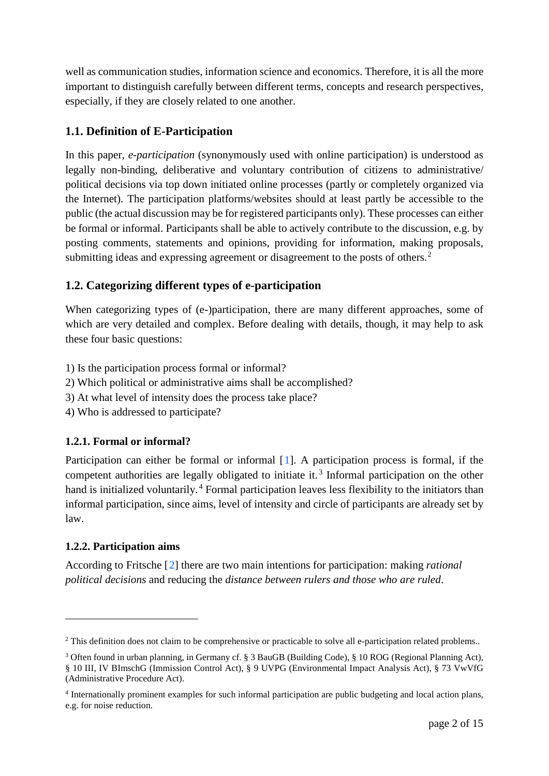well as communication studies, information science and economics. Therefore, it is all the more important to distinguish carefully between different terms, concepts and research perspectives, especially, if they are closely related to one another.

# <span id="page-1-3"></span>**1.1. Definition of E-Participation**

In this paper, *e-participation* (synonymously used with online participation) is understood as legally non-binding, deliberative and voluntary contribution of citizens to administrative/ political decisions via top down initiated online processes (partly or completely organized via the Internet). The participation platforms/websites should at least partly be accessible to the public (the actual discussion may be for registered participants only). These processes can either be formal or informal. Participants shall be able to actively contribute to the discussion, e.g. by posting comments, statements and opinions, providing for information, making proposals, submitting ideas and expressing agreement or disagreement to the posts of others.<sup>[2](#page-1-0)</sup>

# **1.2. Categorizing different types of e-participation**

When categorizing types of (e-)participation, there are many different approaches, some of which are very detailed and complex. Before dealing with details, though, it may help to ask these four basic questions:

- 1) Is the participation process formal or informal?
- 2) Which political or administrative aims shall be accomplished?
- 3) At what level of intensity does the process take place?
- 4) Who is addressed to participate?

## **1.2.1. Formal or informal?**

Participation can either be formal or informal [[1\]](#page-11-0). A participation process is formal, if the competent authorities are legally obligated to initiate it. [3](#page-1-1) Informal participation on the other hand is initialized voluntarily.<sup>[4](#page-1-2)</sup> Formal participation leaves less flexibility to the initiators than informal participation, since aims, level of intensity and circle of participants are already set by law.

## **1.2.2. Participation aims**

-

<span id="page-1-4"></span>According to Fritsche [[2\]](#page-11-1) there are two main intentions for participation: making *rational political decisions* and reducing the *distance between rulers and those who are ruled*.

<span id="page-1-0"></span><sup>&</sup>lt;sup>2</sup> This definition does not claim to be comprehensive or practicable to solve all e-participation related problems..

<span id="page-1-1"></span><sup>3</sup> Often found in urban planning, in Germany cf. § 3 BauGB (Building Code), § 10 ROG (Regional Planning Act), § 10 III, IV BImschG (Immission Control Act), § 9 UVPG (Environmental Impact Analysis Act), § 73 VwVfG (Administrative Procedure Act).

<span id="page-1-2"></span><sup>4</sup> Internationally prominent examples for such informal participation are public budgeting and local action plans, e.g. for noise reduction.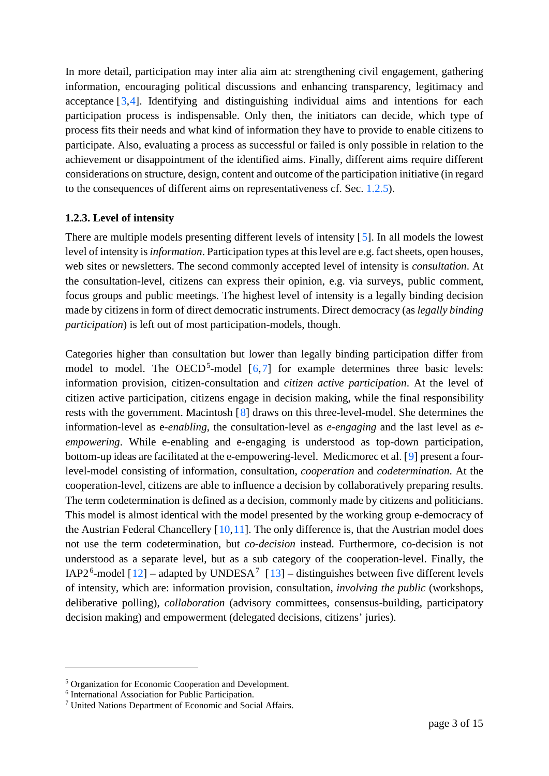<span id="page-2-4"></span>In more detail, participation may inter alia aim at: strengthening civil engagement, gathering information, encouraging political discussions and enhancing transparency, legitimacy and acceptance [[3,](#page-12-0)[4](#page-12-1)]. Identifying and distinguishing individual aims and intentions for each participation process is indispensable. Only then, the initiators can decide, which type of process fits their needs and what kind of information they have to provide to enable citizens to participate. Also, evaluating a process as successful or failed is only possible in relation to the achievement or disappointment of the identified aims. Finally, different aims require different considerations on structure, design, content and outcome of the participation initiative (in regard to the consequences of different aims on representativeness cf. Sec. [1.2.5\)](#page-3-0).

#### <span id="page-2-5"></span>**1.2.3. Level of intensity**

There are multiple models presenting different levels of intensity [[5\]](#page-12-2). In all models the lowest level of intensity is *information*. Participation types at this level are e.g. fact sheets, open houses, web sites or newsletters. The second commonly accepted level of intensity is *consultation*. At the consultation-level, citizens can express their opinion, e.g. via surveys, public comment, focus groups and public meetings. The highest level of intensity is a legally binding decision made by citizens in form of direct democratic instruments. Direct democracy (as *legally binding participation*) is left out of most participation-models, though.

<span id="page-2-3"></span>Categories higher than consultation but lower than legally binding participation differ from model to model. The OECD<sup>[5](#page-2-0)</sup>-model  $[6,7]$  $[6,7]$  $[6,7]$  $[6,7]$  $[6,7]$  for example determines three basic levels: information provision, citizen-consultation and *citizen active participation*. At the level of citizen active participation, citizens engage in decision making, while the final responsibility rests with the government. Macintosh [[8\]](#page-12-5) draws on this three-level-model. She determines the information-level as e*-enabling*, the consultation-level as *e-engaging* and the last level as *eempowering*. While e-enabling and e-engaging is understood as top-down participation, bottom-up ideas are facilitated at the e-empowering-level. Medicmorec et al. [[9](#page-12-6)] present a fourlevel-model consisting of information, consultation, *cooperation* and *codetermination*. At the cooperation-level, citizens are able to influence a decision by collaboratively preparing results. The term codetermination is defined as a decision, commonly made by citizens and politicians. This model is almost identical with the model presented by the working group e-democracy of the Austrian Federal Chancellery [[10,](#page-12-7)[11\]](#page-12-8). The only difference is, that the Austrian model does not use the term codetermination, but *co-decision* instead. Furthermore, co-decision is not understood as a separate level, but as a sub category of the cooperation-level. Finally, the IAP2<sup>[6](#page-2-1)</sup>-model [[12\]](#page-12-9) – adapted by UNDESA<sup>[7](#page-2-2)</sup> [[13\]](#page-12-10) – distinguishes between five different levels of intensity, which are: information provision, consultation, *involving the public* (workshops, deliberative polling), *collaboration* (advisory committees, consensus-building, participatory decision making) and empowerment (delegated decisions, citizens' juries).

<span id="page-2-0"></span><sup>5</sup> Organization for Economic Cooperation and Development.

<span id="page-2-1"></span><sup>6</sup> International Association for Public Participation.

<span id="page-2-2"></span><sup>7</sup> United Nations Department of Economic and Social Affairs.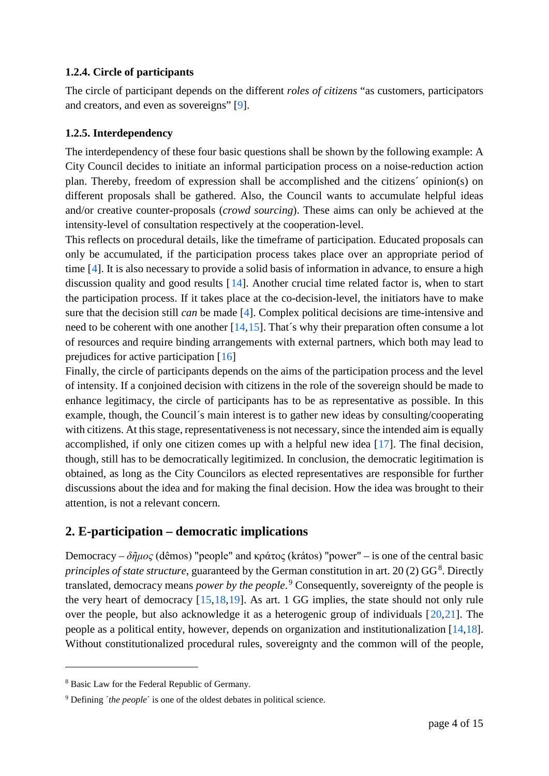### **1.2.4. Circle of participants**

The circle of participant depends on the different *roles of citizens* "as customers, participators and creators, and even as sovereigns" [\[9\]](#page-2-3).

# <span id="page-3-0"></span>**1.2.5. Interdependency**

The interdependency of these four basic questions shall be shown by the following example: A City Council decides to initiate an informal participation process on a noise-reduction action plan. Thereby, freedom of expression shall be accomplished and the citizens´ opinion(s) on different proposals shall be gathered. Also, the Council wants to accumulate helpful ideas and/or creative counter-proposals (*crowd sourcing*). These aims can only be achieved at the intensity-level of consultation respectively at the cooperation-level.

<span id="page-3-3"></span><span id="page-3-1"></span>This reflects on procedural details, like the timeframe of participation. Educated proposals can only be accumulated, if the participation process takes place over an appropriate period of time [\[4\]](#page-2-4). It is also necessary to provide a solid basis of information in advance, to ensure a high discussion quality and good results [[14\]](#page-13-0). Another crucial time related factor is, when to start the participation process. If it takes place at the co-decision-level, the initiators have to make sure that the decision still *can* be made [\[4\]](#page-2-4). Complex political decisions are time-intensive and need to be coherent with one another [\[14,](#page-3-1)[15\]](#page-13-1). That's why their preparation often consume a lot of resources and require binding arrangements with external partners, which both may lead to prejudices for active participation [[16](#page-13-2)]

<span id="page-3-10"></span><span id="page-3-9"></span><span id="page-3-2"></span>Finally, the circle of participants depends on the aims of the participation process and the level of intensity. If a conjoined decision with citizens in the role of the sovereign should be made to enhance legitimacy, the circle of participants has to be as representative as possible. In this example, though, the Council´s main interest is to gather new ideas by consulting/cooperating with citizens. At this stage, representativeness is not necessary, since the intended aim is equally accomplished, if only one citizen comes up with a helpful new idea [[17\]](#page-13-3). The final decision, though, still has to be democratically legitimized. In conclusion, the democratic legitimation is obtained, as long as the City Councilors as elected representatives are responsible for further discussions about the idea and for making the final decision. How the idea was brought to their attention, is not a relevant concern.

# <span id="page-3-7"></span>**2. E-participation – democratic implications**

<span id="page-3-8"></span><span id="page-3-4"></span>Democracy – *δῆμος* (dêmos) "people" and κράτος (krátos) "power" – is one of the central basic *principles of state structure*, guaranteed by the German constitution in art.  $20(2)$  GG<sup>[8](#page-3-5)</sup>. Directly translated, democracy means *power by the people*. [9](#page-3-6) Consequently, sovereignty of the people is the very heart of democracy [\[15,](#page-3-2)[18,](#page-13-4)[19](#page-13-5)]. As art. 1 GG implies, the state should not only rule over the people, but also acknowledge it as a heterogenic group of individuals  $[20,21]$  $[20,21]$  $[20,21]$  $[20,21]$ . The people as a political entity, however, depends on organization and institutionalization [\[14](#page-3-3)[,18\]](#page-3-4). Without constitutionalized procedural rules, sovereignty and the common will of the people,

<span id="page-3-5"></span><sup>8</sup> Basic Law for the Federal Republic of Germany.

<span id="page-3-6"></span><sup>9</sup> Defining ´*the people*´ is one of the oldest debates in political science.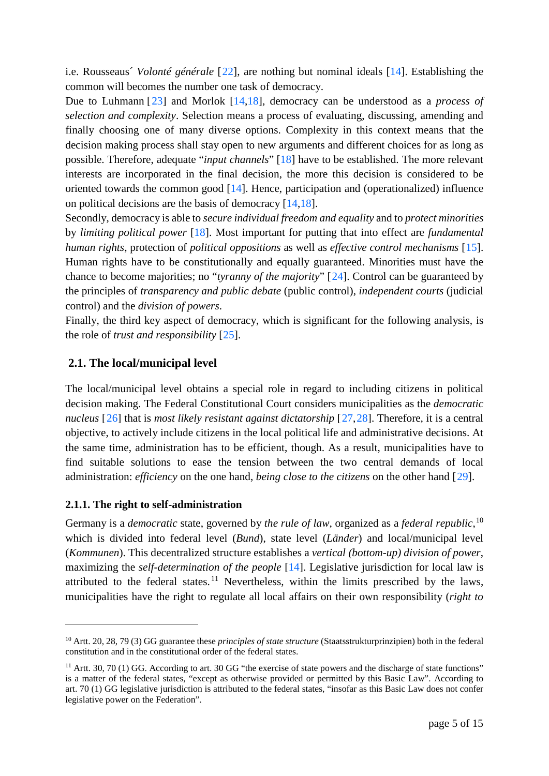i.e. Rousseaus´ *Volonté générale* [[22](#page-14-0)], are nothing but nominal ideals [\[14\]](#page-3-3). Establishing the common will becomes the number one task of democracy.

Due to Luhmann [[23\]](#page-14-1) and Morlok [\[14](#page-3-3)[,18\]](#page-3-4), democracy can be understood as a *process of selection and complexity*. Selection means a process of evaluating, discussing, amending and finally choosing one of many diverse options. Complexity in this context means that the decision making process shall stay open to new arguments and different choices for as long as possible. Therefore, adequate "*input channels*" [\[18\]](#page-3-4) have to be established. The more relevant interests are incorporated in the final decision, the more this decision is considered to be oriented towards the common good [\[14\]](#page-3-3). Hence, participation and (operationalized) influence on political decisions are the basis of democracy [\[14,](#page-3-1)[18\]](#page-3-4).

Secondly, democracy is able to *secure individual freedom and equality* and to *protect minorities* by *limiting political power* [\[18\]](#page-3-4). Most important for putting that into effect are *fundamental human rights*, protection of *political oppositions* as well as *effective control mechanisms* [\[15\]](#page-3-2). Human rights have to be constitutionally and equally guaranteed. Minorities must have the chance to become majorities; no "*tyranny of the majority*" [[24](#page-14-2)]. Control can be guaranteed by the principles of *transparency and public debate* (public control), *independent courts* (judicial control) and the *division of powers*.

<span id="page-4-3"></span>Finally, the third key aspect of democracy, which is significant for the following analysis, is the role of *trust and responsibility* [[25](#page-14-3)].

## <span id="page-4-0"></span>**2.1. The local/municipal level**

The local/municipal level obtains a special role in regard to including citizens in political decision making. The Federal Constitutional Court considers municipalities as the *democratic nucleus* [[26\]](#page-14-4) that is *most likely resistant against dictatorship* [[27,](#page-14-5)[28](#page-14-6)]. Therefore, it is a central objective, to actively include citizens in the local political life and administrative decisions. At the same time, administration has to be efficient, though. As a result, municipalities have to find suitable solutions to ease the tension between the two central demands of local administration: *efficiency* on the one hand, *being close to the citizens* on the other hand [[29\]](#page-14-7).

#### **2.1.1. The right to self-administration**

-

Germany is a *democratic* state, governed by *the rule of law*, organized as a *federal republic*, [10](#page-4-1) which is divided into federal level (*Bund*), state level (*Länder*) and local/municipal level (*Kommunen*). This decentralized structure establishes a *vertical (bottom-up) division of power*, maximizing the *self-determination of the people* [\[14\]](#page-3-1). Legislative jurisdiction for local law is attributed to the federal states.<sup>[11](#page-4-2)</sup> Nevertheless, within the limits prescribed by the laws, municipalities have the right to regulate all local affairs on their own responsibility (*right to* 

<span id="page-4-1"></span><sup>10</sup> Artt. 20, 28, 79 (3) GG guarantee these *principles of state structure* (Staatsstrukturprinzipien) both in the federal constitution and in the constitutional order of the federal states.

<span id="page-4-2"></span><sup>&</sup>lt;sup>11</sup> Artt. 30, 70 (1) GG. According to art. 30 GG "the exercise of state powers and the discharge of state functions" is a matter of the federal states, "except as otherwise provided or permitted by this Basic Law". According to art. 70 (1) GG legislative jurisdiction is attributed to the federal states, "insofar as this Basic Law does not confer legislative power on the Federation".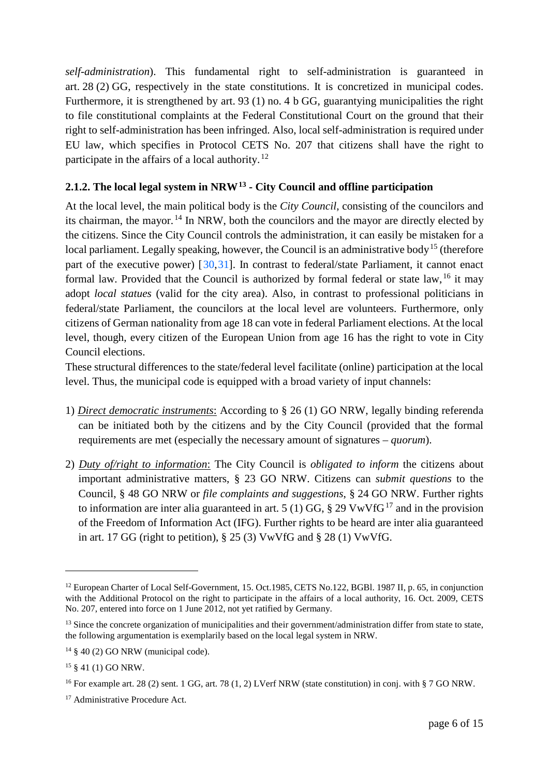*self-administration*). This fundamental right to self-administration is guaranteed in art. 28 (2) GG, respectively in the state constitutions. It is concretized in municipal codes. Furthermore, it is strengthened by art. 93 (1) no. 4 b GG, guarantying municipalities the right to file constitutional complaints at the Federal Constitutional Court on the ground that their right to self-administration has been infringed. Also, local self-administration is required under EU law, which specifies in Protocol CETS No. 207 that citizens shall have the right to participate in the affairs of a local authority.<sup>[12](#page-5-0)</sup>

# <span id="page-5-6"></span>**2.1.2. The local legal system in NRW[13](#page-5-1) - City Council and offline participation**

At the local level, the main political body is the *City Council*, consisting of the councilors and its chairman, the mayor.<sup>[14](#page-5-2)</sup> In NRW, both the councilors and the mayor are directly elected by the citizens. Since the City Council controls the administration, it can easily be mistaken for a local parliament. Legally speaking, however, the Council is an administrative body<sup>[15](#page-5-3)</sup> (therefore part of the executive power) [[30,](#page-14-8)[31\]](#page-14-9). In contrast to federal/state Parliament, it cannot enact formal law. Provided that the Council is authorized by formal federal or state law,  $^{16}$  $^{16}$  $^{16}$  it may adopt *local statues* (valid for the city area). Also, in contrast to professional politicians in federal/state Parliament, the councilors at the local level are volunteers. Furthermore, only citizens of German nationality from age 18 can vote in federal Parliament elections. At the local level, though, every citizen of the European Union from age 16 has the right to vote in City Council elections.

These structural differences to the state/federal level facilitate (online) participation at the local level. Thus, the municipal code is equipped with a broad variety of input channels:

- 1) *Direct democratic instruments*: According to § 26 (1) GO NRW, legally binding referenda can be initiated both by the citizens and by the City Council (provided that the formal requirements are met (especially the necessary amount of signatures – *quorum*).
- 2) *Duty of/right to information*: The City Council is *obligated to inform* the citizens about important administrative matters, § 23 GO NRW. Citizens can *submit questions* to the Council, § 48 GO NRW or *file complaints and suggestions*, § 24 GO NRW. Further rights to information are inter alia guaranteed in art. 5 (1) GG,  $\S$  29 VwVfG<sup>[17](#page-5-5)</sup> and in the provision of the Freedom of Information Act (IFG). Further rights to be heard are inter alia guaranteed in art. 17 GG (right to petition), § 25 (3) VwVfG and § 28 (1) VwVfG.

<span id="page-5-0"></span><sup>&</sup>lt;sup>12</sup> European Charter of Local Self-Government, 15. Oct.1985, CETS No.122, BGBl. 1987 II, p. 65, in conjunction with the Additional Protocol on the right to participate in the affairs of a local authority, 16. Oct. 2009, CETS No. 207, entered into force on 1 June 2012, not yet ratified by Germany.

<span id="page-5-1"></span><sup>&</sup>lt;sup>13</sup> Since the concrete organization of municipalities and their government/administration differ from state to state, the following argumentation is exemplarily based on the local legal system in NRW.

<span id="page-5-2"></span> $14 \& 40 (2) GO NRW$  (municipal code).

<span id="page-5-3"></span><sup>15</sup> § 41 (1) GO NRW.

<span id="page-5-4"></span><sup>&</sup>lt;sup>16</sup> For example art. 28 (2) sent. 1 GG, art. 78 (1, 2) LVerf NRW (state constitution) in conj. with § 7 GO NRW.

<span id="page-5-5"></span><sup>&</sup>lt;sup>17</sup> Administrative Procedure Act.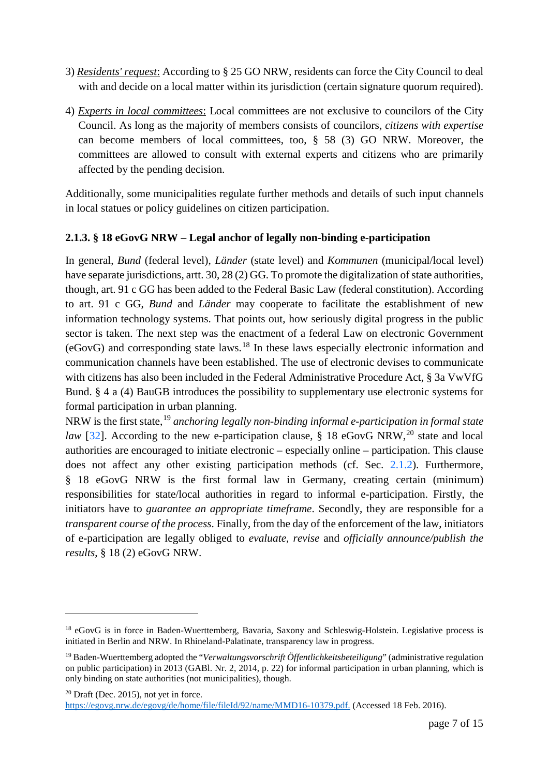- 3) *Residents' request*: According to § 25 GO NRW, residents can force the City Council to deal with and decide on a local matter within its jurisdiction (certain signature quorum required).
- 4) *Experts in local committees*: Local committees are not exclusive to councilors of the City Council. As long as the majority of members consists of councilors, *citizens with expertise* can become members of local committees, too, § 58 (3) GO NRW. Moreover, the committees are allowed to consult with external experts and citizens who are primarily affected by the pending decision.

Additionally, some municipalities regulate further methods and details of such input channels in local statues or policy guidelines on citizen participation.

# **2.1.3. § 18 eGovG NRW – Legal anchor of legally non-binding e-participation**

In general, *Bund* (federal level), *Länder* (state level) and *Kommunen* (municipal/local level) have separate jurisdictions, artt. 30, 28 (2) GG. To promote the digitalization of state authorities, though, art. 91 c GG has been added to the Federal Basic Law (federal constitution). According to art. 91 c GG, *Bund* and *Länder* may cooperate to facilitate the establishment of new information technology systems. That points out, how seriously digital progress in the public sector is taken. The next step was the enactment of a federal Law on electronic Government (eGovG) and corresponding state laws. [18](#page-6-0) In these laws especially electronic information and communication channels have been established. The use of electronic devises to communicate with citizens has also been included in the Federal Administrative Procedure Act, § 3a VwVfG Bund. § 4 a (4) BauGB introduces the possibility to supplementary use electronic systems for formal participation in urban planning.

NRW is the first state, [19](#page-6-1) *anchoring legally non-binding informal e-participation in formal state*  law [[32](#page-14-10)]. According to the new e-participation clause, § 18 eGovG NRW,<sup>[20](#page-6-2)</sup> state and local authorities are encouraged to initiate electronic – especially online – participation. This clause does not affect any other existing participation methods (cf. Sec. [2.1.2\)](#page-5-6). Furthermore, § 18 eGovG NRW is the first formal law in Germany, creating certain (minimum) responsibilities for state/local authorities in regard to informal e-participation. Firstly, the initiators have to *guarantee an appropriate timeframe*. Secondly, they are responsible for a *transparent course of the process*. Finally, from the day of the enforcement of the law, initiators of e-participation are legally obliged to *evaluate, revise* and *officially announce/publish the results*, § 18 (2) eGovG NRW.

<span id="page-6-2"></span> $20$  Draft (Dec. 2015), not yet in force.

<span id="page-6-0"></span><sup>&</sup>lt;sup>18</sup> eGovG is in force in Baden-Wuerttemberg, Bavaria, Saxony and Schleswig-Holstein. Legislative process is initiated in Berlin and NRW. In Rhineland-Palatinate, transparency law in progress.

<span id="page-6-1"></span><sup>19</sup> Baden-Wuerttemberg adopted the "*Verwaltungsvorschrift Öffentlichkeitsbeteiligung*" (administrative regulation on public participation) in 2013 (GABl. Nr. 2, 2014, p. 22) for informal participation in urban planning, which is only binding on state authorities (not municipalities), though.

[https://egovg.nrw.de/egovg/de/home/file/fileId/92/name/MMD16-10379.pdf.](https://egovg.nrw.de/egovg/de/home/file/fileId/92/name/MMD16-10379.pdf) (Accessed 18 Feb. 2016).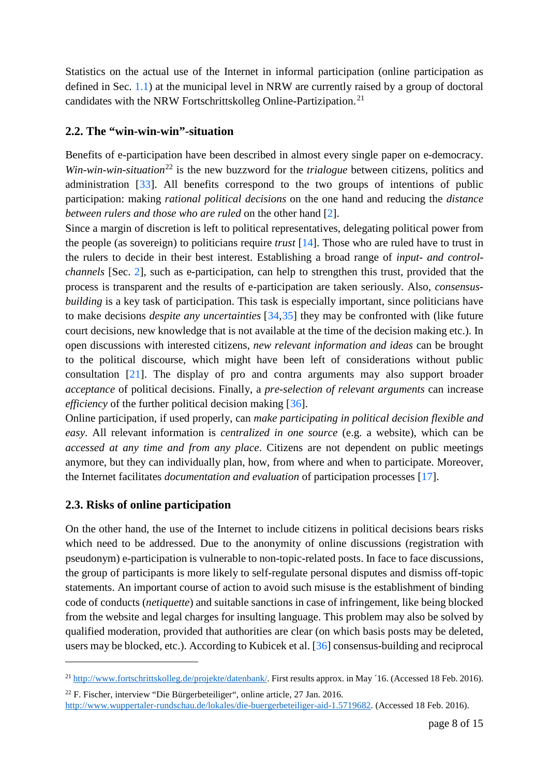Statistics on the actual use of the Internet in informal participation (online participation as defined in Sec. [1.1\)](#page-1-3) at the municipal level in NRW are currently raised by a group of doctoral candidates with the NRW Fortschrittskolleg Online-Partizipation.[21](#page-7-3)

## <span id="page-7-0"></span>**2.2. The "win-win-win"-situation**

Benefits of e-participation have been described in almost every single paper on e-democracy. *Win-win-win-situation*<sup>[22](#page-7-4)</sup> is the new buzzword for the *trialogue* between citizens, politics and administration [[33\]](#page-14-11). All benefits correspond to the two groups of intentions of public participation: making *rational political decisions* on the one hand and reducing the *distance between rulers and those who are ruled* on the other hand [\[2\]](#page-1-4).

Since a margin of discretion is left to political representatives, delegating political power from the people (as sovereign) to politicians require *trust* [\[14\]](#page-3-1). Those who are ruled have to trust in the rulers to decide in their best interest. Establishing a broad range of *input- and controlchannels* [Sec. [2\]](#page-3-7), such as e-participation, can help to strengthen this trust, provided that the process is transparent and the results of e-participation are taken seriously. Also, *consensusbuilding* is a key task of participation. This task is especially important, since politicians have to make decisions *despite any uncertainties* [[34,](#page-14-12)[35](#page-14-13)] they may be confronted with (like future court decisions, new knowledge that is not available at the time of the decision making etc.). In open discussions with interested citizens, *new relevant information and ideas* can be brought to the political discourse, which might have been left of considerations without public consultation [\[21\]](#page-3-8). The display of pro and contra arguments may also support broader *acceptance* of political decisions. Finally, a *pre-selection of relevant arguments* can increase *efficiency* of the further political decision making [[36\]](#page-14-14).

<span id="page-7-2"></span>Online participation, if used properly, can *make participating in political decision flexible and easy*. All relevant information is *centralized in one source* (e.g. a website), which can be *accessed at any time and from any place*. Citizens are not dependent on public meetings anymore, but they can individually plan, how, from where and when to participate. Moreover, the Internet facilitates *documentation and evaluation* of participation processes [\[17\]](#page-3-9).

## <span id="page-7-1"></span>**2.3. Risks of online participation**

-

On the other hand, the use of the Internet to include citizens in political decisions bears risks which need to be addressed. Due to the anonymity of online discussions (registration with pseudonym) e-participation is vulnerable to non-topic-related posts. In face to face discussions, the group of participants is more likely to self-regulate personal disputes and dismiss off-topic statements. An important course of action to avoid such misuse is the establishment of binding code of conducts (*netiquette*) and suitable sanctions in case of infringement, like being blocked from the website and legal charges for insulting language. This problem may also be solved by qualified moderation, provided that authorities are clear (on which basis posts may be deleted, users may be blocked, etc.). According to Kubicek et al. [\[36\]](#page-7-2) consensus-building and reciprocal

<span id="page-7-3"></span><sup>&</sup>lt;sup>21</sup> [http://www.fortschrittskolleg.de/projekte/datenbank/.](http://www.fortschrittskolleg.de/projekte/datenbank/) First results approx. in May <sup>1</sup>6. (Accessed 18 Feb. 2016).

<span id="page-7-4"></span><sup>22</sup> F. Fischer, interview "Die Bürgerbeteiliger", online article, 27 Jan. 2016.

[http://www.wuppertaler-rundschau.de/lokales/die-buergerbeteiliger-aid-1.5719682.](http://www.wuppertaler-rundschau.de/lokales/die-buergerbeteiliger-aid-1.5719682) (Accessed 18 Feb. 2016).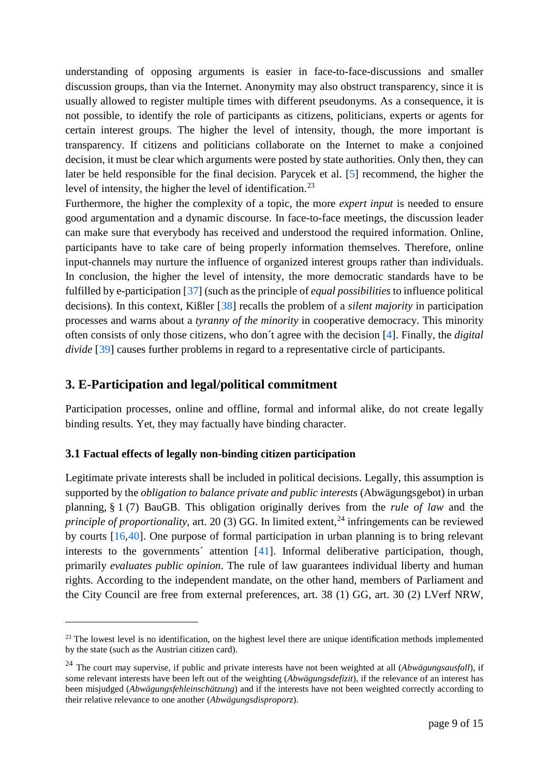understanding of opposing arguments is easier in face-to-face-discussions and smaller discussion groups, than via the Internet. Anonymity may also obstruct transparency, since it is usually allowed to register multiple times with different pseudonyms. As a consequence, it is not possible, to identify the role of participants as citizens, politicians, experts or agents for certain interest groups. The higher the level of intensity, though, the more important is transparency. If citizens and politicians collaborate on the Internet to make a conjoined decision, it must be clear which arguments were posted by state authorities. Only then, they can later be held responsible for the final decision. Parycek et al. [\[5\]](#page-2-5) recommend, the higher the level of intensity, the higher the level of identification.<sup>[23](#page-8-0)</sup>

Furthermore, the higher the complexity of a topic, the more *expert input* is needed to ensure good argumentation and a dynamic discourse. In face-to-face meetings, the discussion leader can make sure that everybody has received and understood the required information. Online, participants have to take care of being properly information themselves. Therefore, online input-channels may nurture the influence of organized interest groups rather than individuals. In conclusion, the higher the level of intensity, the more democratic standards have to be fulfilled by e-participation [[37](#page-14-15)] (such as the principle of *equal possibilities* to influence political decisions). In this context, Kißler [[38](#page-14-16)] recalls the problem of a *silent majority* in participation processes and warns about a *tyranny of the minority* in cooperative democracy. This minority often consists of only those citizens, who don´t agree with the decision [\[4\]](#page-2-4). Finally, the *digital divide* [[39\]](#page-14-17) causes further problems in regard to a representative circle of participants.

# **3. E-Participation and legal/political commitment**

Participation processes, online and offline, formal and informal alike, do not create legally binding results. Yet, they may factually have binding character.

## **3.1 Factual effects of legally non-binding citizen participation**

-

Legitimate private interests shall be included in political decisions. Legally, this assumption is supported by the *obligation to balance private and public interests* (Abwägungsgebot) in urban planning, § 1 (7) BauGB. This obligation originally derives from the *rule of law* and the *principle of proportionality, art.* 20(3) GG. In limited extent,  $^{24}$  $^{24}$  $^{24}$  infringements can be reviewed by courts [\[16,](#page-3-10)[40](#page-14-18)]. One purpose of formal participation in urban planning is to bring relevant interests to the governments´ attention [[41](#page-14-19)]. Informal deliberative participation, though, primarily *evaluates public opinion*. The rule of law guarantees individual liberty and human rights. According to the independent mandate, on the other hand, members of Parliament and the City Council are free from external preferences, art. 38 (1) GG, art. 30 (2) LVerf NRW,

<span id="page-8-0"></span> $23$  The lowest level is no identification, on the highest level there are unique identification methods implemented by the state (such as the Austrian citizen card).

<span id="page-8-1"></span><sup>24</sup> The court may supervise, if public and private interests have not been weighted at all (*Abwägungsausfall*), if some relevant interests have been left out of the weighting (*Abwägungsdefizit*), if the relevance of an interest has been misjudged (*Abwägungsfehleinschätzung*) and if the interests have not been weighted correctly according to their relative relevance to one another (*Abwägungsdisproporz*).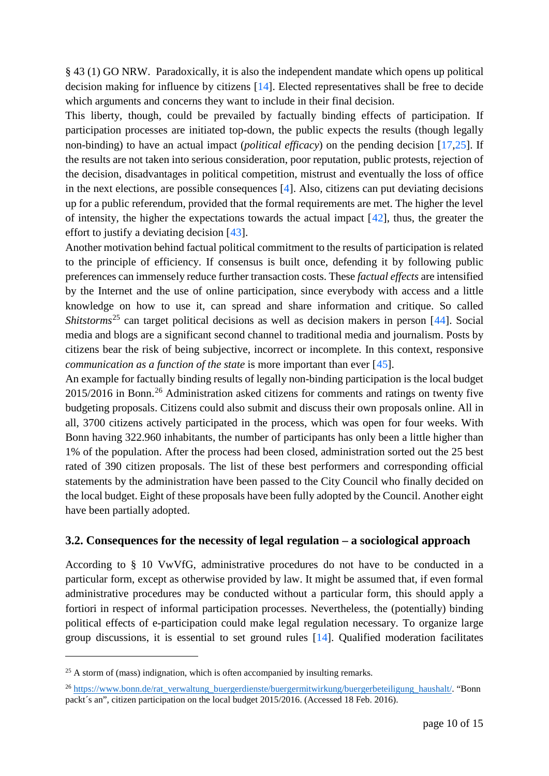§ 43 (1) GO NRW. Paradoxically, it is also the independent mandate which opens up political decision making for influence by citizens [\[14\]](#page-3-1). Elected representatives shall be free to decide which arguments and concerns they want to include in their final decision.

This liberty, though, could be prevailed by factually binding effects of participation. If participation processes are initiated top-down, the public expects the results (though legally non-binding) to have an actual impact (*political efficacy*) on the pending decision [\[17](#page-3-9)[,25\]](#page-4-3). If the results are not taken into serious consideration, poor reputation, public protests, rejection of the decision, disadvantages in political competition, mistrust and eventually the loss of office in the next elections, are possible consequences [\[4\]](#page-2-4). Also, citizens can put deviating decisions up for a public referendum, provided that the formal requirements are met. The higher the level of intensity, the higher the expectations towards the actual impact  $[42]$  $[42]$ , thus, the greater the effort to justify a deviating decision [[43](#page-14-21)].

Another motivation behind factual political commitment to the results of participation is related to the principle of efficiency. If consensus is built once, defending it by following public preferences can immensely reduce further transaction costs. These *factual effects* are intensified by the Internet and the use of online participation, since everybody with access and a little knowledge on how to use it, can spread and share information and critique. So called *Shitstorms*<sup>[25](#page-9-0)</sup> can target political decisions as well as decision makers in person [[44](#page-14-22)]. Social media and blogs are a significant second channel to traditional media and journalism. Posts by citizens bear the risk of being subjective, incorrect or incomplete. In this context, responsive *communication as a function of the state* is more important than ever [[45\]](#page-14-23).

<span id="page-9-2"></span>An example for factually binding results of legally non-binding participation is the local budget 2015/2016 in Bonn.<sup>[26](#page-9-1)</sup> Administration asked citizens for comments and ratings on twenty five budgeting proposals. Citizens could also submit and discuss their own proposals online. All in all, 3700 citizens actively participated in the process, which was open for four weeks. With Bonn having 322.960 inhabitants, the number of participants has only been a little higher than 1% of the population. After the process had been closed, administration sorted out the 25 best rated of 390 citizen proposals. The list of these best performers and corresponding official statements by the administration have been passed to the City Council who finally decided on the local budget. Eight of these proposals have been fully adopted by the Council. Another eight have been partially adopted.

#### **3.2. Consequences for the necessity of legal regulation – a sociological approach**

According to § 10 VwVfG, administrative procedures do not have to be conducted in a particular form, except as otherwise provided by law. It might be assumed that, if even formal administrative procedures may be conducted without a particular form, this should apply a fortiori in respect of informal participation processes. Nevertheless, the (potentially) binding political effects of e-participation could make legal regulation necessary. To organize large group discussions, it is essential to set ground rules [\[14\]](#page-3-1). Qualified moderation facilitates

<span id="page-9-0"></span> $25$  A storm of (mass) indignation, which is often accompanied by insulting remarks.

<span id="page-9-1"></span><sup>&</sup>lt;sup>26</sup> [https://www.bonn.de/rat\\_verwaltung\\_buergerdienste/buergermitwirkung/buergerbeteiligung\\_haushalt/.](https://www.bonn.de/rat_verwaltung_buergerdienste/buergermitwirkung/buergerbeteiligung_haushalt/) "Bonn packt´s an", citizen participation on the local budget 2015/2016. (Accessed 18 Feb. 2016).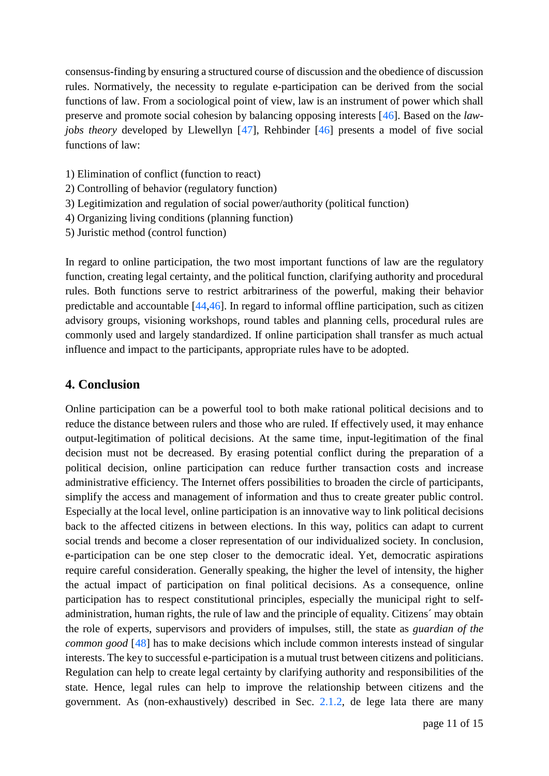<span id="page-10-1"></span>consensus-finding by ensuring a structured course of discussion and the obedience of discussion rules. Normatively, the necessity to regulate e-participation can be derived from the social functions of law. From a sociological point of view, law is an instrument of power which shall preserve and promote social cohesion by balancing opposing interests [[46](#page-14-24)]. Based on the *lawjobs theory* developed by Llewellyn [[47](#page-14-25)], Rehbinder [\[46\]](#page-10-1) presents a model of five social functions of law:

- 1) Elimination of conflict (function to react)
- 2) Controlling of behavior (regulatory function)
- 3) Legitimization and regulation of social power/authority (political function)
- 4) Organizing living conditions (planning function)
- 5) Juristic method (control function)

In regard to online participation, the two most important functions of law are the regulatory function, creating legal certainty, and the political function, clarifying authority and procedural rules. Both functions serve to restrict arbitrariness of the powerful, making their behavior predictable and accountable [\[44](#page-9-2)[,46\]](#page-10-1). In regard to informal offline participation, such as citizen advisory groups, visioning workshops, round tables and planning cells, procedural rules are commonly used and largely standardized. If online participation shall transfer as much actual influence and impact to the participants, appropriate rules have to be adopted.

### <span id="page-10-0"></span>**4. Conclusion**

Online participation can be a powerful tool to both make rational political decisions and to reduce the distance between rulers and those who are ruled. If effectively used, it may enhance output-legitimation of political decisions. At the same time, input-legitimation of the final decision must not be decreased. By erasing potential conflict during the preparation of a political decision, online participation can reduce further transaction costs and increase administrative efficiency. The Internet offers possibilities to broaden the circle of participants, simplify the access and management of information and thus to create greater public control. Especially at the local level, online participation is an innovative way to link political decisions back to the affected citizens in between elections. In this way, politics can adapt to current social trends and become a closer representation of our individualized society. In conclusion, e-participation can be one step closer to the democratic ideal. Yet, democratic aspirations require careful consideration. Generally speaking, the higher the level of intensity, the higher the actual impact of participation on final political decisions. As a consequence, online participation has to respect constitutional principles, especially the municipal right to selfadministration, human rights, the rule of law and the principle of equality. Citizens´ may obtain the role of experts, supervisors and providers of impulses, still, the state as *guardian of the common good* [[48\]](#page-14-26) has to make decisions which include common interests instead of singular interests. The key to successful e-participation is a mutual trust between citizens and politicians. Regulation can help to create legal certainty by clarifying authority and responsibilities of the state. Hence, legal rules can help to improve the relationship between citizens and the government. As (non-exhaustively) described in Sec. [2.1.2,](#page-5-6) de lege lata there are many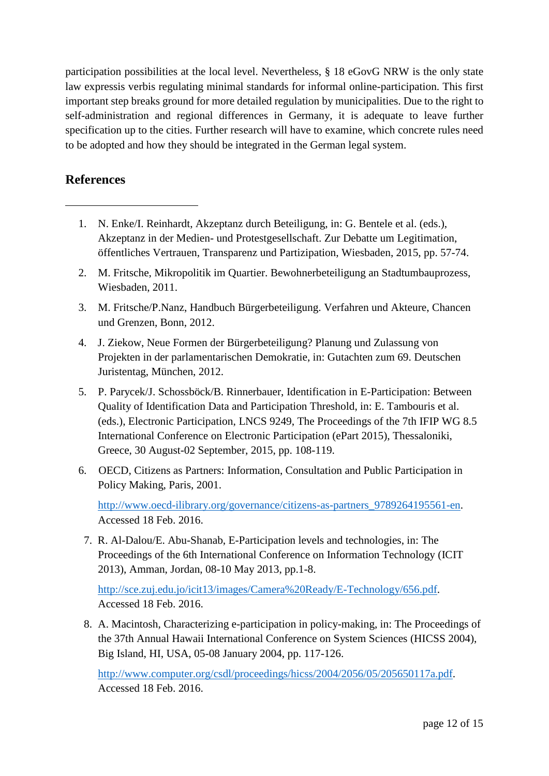participation possibilities at the local level. Nevertheless, § 18 eGovG NRW is the only state law expressis verbis regulating minimal standards for informal online-participation. This first important step breaks ground for more detailed regulation by municipalities. Due to the right to self-administration and regional differences in Germany, it is adequate to leave further specification up to the cities. Further research will have to examine, which concrete rules need to be adopted and how they should be integrated in the German legal system.

# **References**

<span id="page-11-0"></span>-

- 1. N. Enke/I. Reinhardt, Akzeptanz durch Beteiligung, in: G. Bentele et al. (eds.), Akzeptanz in der Medien- und Protestgesellschaft. Zur Debatte um Legitimation, öffentliches Vertrauen, Transparenz und Partizipation, Wiesbaden, 2015, pp. 57-74.
- <span id="page-11-1"></span>2. M. Fritsche, Mikropolitik im Quartier. Bewohnerbeteiligung an Stadtumbauprozess, Wiesbaden, 2011.
- 3. M. Fritsche/P.Nanz, Handbuch Bürgerbeteiligung. Verfahren und Akteure, Chancen und Grenzen, Bonn, 2012.
- 4. J. Ziekow, Neue Formen der Bürgerbeteiligung? Planung und Zulassung von Projekten in der parlamentarischen Demokratie, in: Gutachten zum 69. Deutschen Juristentag, München, 2012.
- 5. P. Parycek/J. Schossböck/B. Rinnerbauer, Identification in E-Participation: Between Quality of Identification Data and Participation Threshold, in: E. Tambouris et al. (eds.), Electronic Participation, LNCS 9249, The Proceedings of the 7th IFIP WG 8.5 International Conference on Electronic Participation (ePart 2015), Thessaloniki, Greece, 30 August-02 September, 2015, pp. 108-119.
- 6. OECD, Citizens as Partners: Information, Consultation and Public Participation in Policy Making, Paris, 2001.

[http://www.oecd-ilibrary.org/governance/citizens-as-partners\\_9789264195561-en.](http://www.oecd-ilibrary.org/governance/citizens-as-partners_9789264195561-en) Accessed 18 Feb. 2016.

 7. R. Al-Dalou/E. Abu-Shanab, E-Participation levels and technologies, in: The Proceedings of the 6th International Conference on Information Technology (ICIT 2013), Amman, Jordan, 08-10 May 2013, pp.1-8.

[http://sce.zuj.edu.jo/icit13/images/Camera%20Ready/E-Technology/656.pdf.](http://sce.zuj.edu.jo/icit13/images/Camera%20Ready/E-Technology/656.pdf) Accessed 18 Feb. 2016.

8. A. Macintosh, Characterizing e-participation in policy-making, in: The Proceedings of the 37th Annual Hawaii International Conference on System Sciences (HICSS 2004), Big Island, HI, USA, 05-08 January 2004, pp. 117-126.

[http://www.computer.org/csdl/proceedings/hicss/2004/2056/05/205650117a.pdf.](http://www.computer.org/csdl/proceedings/hicss/2004/2056/05/205650117a.pdf) Accessed 18 Feb. 2016.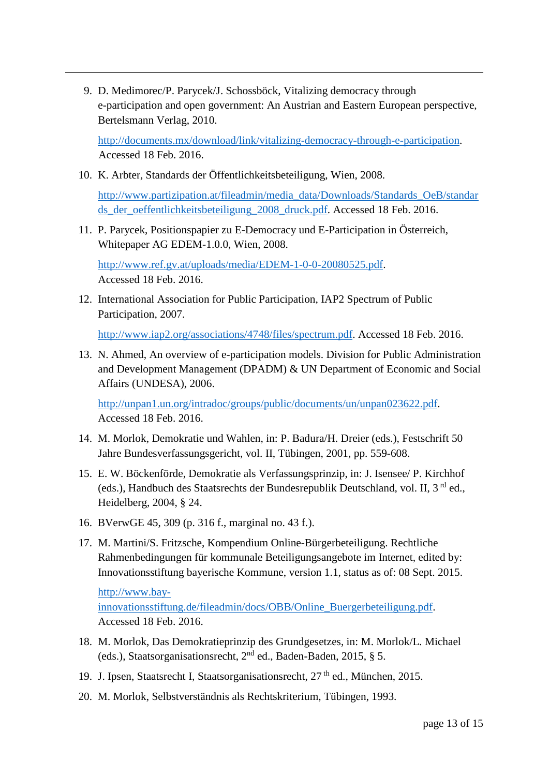9. D. Medimorec/P. Parycek/J. Schossböck, Vitalizing democracy through e-participation and open government: An Austrian and Eastern European perspective, Bertelsmann Verlag, 2010.

[http://documents.mx/download/link/vitalizing-democracy-through-e-participation.](http://documents.mx/download/link/vitalizing-democracy-through-e-participation) Accessed 18 Feb. 2016.

<span id="page-12-7"></span>10. K. Arbter, Standards der Öffentlichkeitsbeteiligung, Wien, 2008.

[http://www.partizipation.at/fileadmin/media\\_data/Downloads/Standards\\_OeB/standar](http://www.partizipation.at/fileadmin/media_data/Downloads/Standards_OeB/standards_der_oeffentlichkeitsbeteiligung_2008_druck.pdf) [ds\\_der\\_oeffentlichkeitsbeteiligung\\_2008\\_druck.pdf.](http://www.partizipation.at/fileadmin/media_data/Downloads/Standards_OeB/standards_der_oeffentlichkeitsbeteiligung_2008_druck.pdf) Accessed 18 Feb. 2016.

<span id="page-12-8"></span>11. P. Parycek, Positionspapier zu E-Democracy und E-Participation in Österreich, Whitepaper AG EDEM-1.0.0, Wien, 2008.

[http://www.ref.gv.at/uploads/media/EDEM-1-0-0-20080525.pdf.](http://www.ref.gv.at/uploads/media/EDEM-1-0-0-20080525.pdf) Accessed 18 Feb. 2016.

<span id="page-12-9"></span><span id="page-12-0"></span>12. International Association for Public Participation, IAP2 Spectrum of Public Participation, 2007.

[http://www.iap2.org/associations/4748/files/spectrum.pdf.](http://www.iap2.org/associations/4748/files/spectrum.pdf) Accessed 18 Feb. 2016.

<span id="page-12-10"></span><span id="page-12-2"></span><span id="page-12-1"></span>13. N. Ahmed, An overview of e-participation models. Division for Public Administration and Development Management (DPADM) & UN Department of Economic and Social Affairs (UNDESA), 2006.

[http://unpan1.un.org/intradoc/groups/public/documents/un/unpan023622.pdf.](http://unpan1.un.org/intradoc/groups/public/documents/un/unpan023622.pdf) Accessed 18 Feb. 2016.

- 14. M. Morlok, Demokratie und Wahlen, in: P. Badura/H. Dreier (eds.), Festschrift 50 Jahre Bundesverfassungsgericht, vol. II, Tübingen, 2001, pp. 559-608.
- <span id="page-12-3"></span>15. E. W. Böckenförde, Demokratie als Verfassungsprinzip, in: J. Isensee/ P. Kirchhof (eds.), Handbuch des Staatsrechts der Bundesrepublik Deutschland, vol. II, 3<sup>rd</sup> ed., Heidelberg, 2004, § 24.
- 16. BVerwGE 45, 309 (p. 316 f., marginal no. 43 f.).
- <span id="page-12-4"></span>17. M. Martini/S. Fritzsche, Kompendium Online-Bürgerbeteiligung. Rechtliche Rahmenbedingungen für kommunale Beteiligungsangebote im Internet, edited by: Innovationsstiftung bayerische Kommune, version 1.1, status as of: 08 Sept. 2015.

[http://www.bay-](http://www.bay-innovationsstiftung.de/fileadmin/docs/OBB/Online_Buergerbeteiligung.pdf)

<span id="page-12-6"></span>-

[innovationsstiftung.de/fileadmin/docs/OBB/Online\\_Buergerbeteiligung.pdf.](http://www.bay-innovationsstiftung.de/fileadmin/docs/OBB/Online_Buergerbeteiligung.pdf) Accessed 18 Feb. 2016.

- <span id="page-12-5"></span>18. M. Morlok, Das Demokratieprinzip des Grundgesetzes, in: M. Morlok/L. Michael (eds.), Staatsorganisationsrecht, 2nd ed., Baden-Baden, 2015, § 5.
- 19. J. Ipsen, Staatsrecht I, Staatsorganisationsrecht, 27<sup>th</sup> ed., München, 2015.
- 20. M. Morlok, Selbstverständnis als Rechtskriterium, Tübingen, 1993.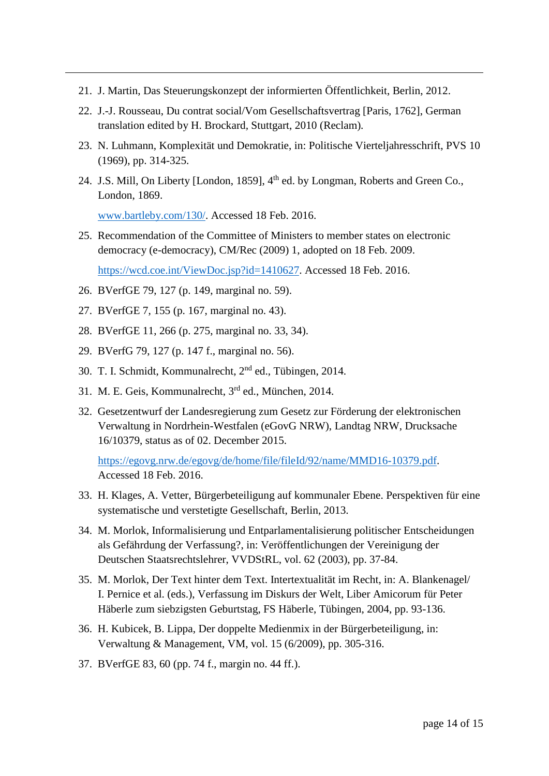- 21. J. Martin, Das Steuerungskonzept der informierten Öffentlichkeit, Berlin, 2012.
- 22.J.-J. Rousseau, Du contrat social/Vom Gesellschaftsvertrag [Paris, 1762], German translation edited by H. Brockard*,* Stuttgart, 2010 (Reclam)*.*
- 23. N. Luhmann, Komplexität und Demokratie, in: Politische Vierteljahresschrift, PVS 10 (1969), pp. 314-325.
- 24. J.S. Mill, On Liberty [London, 1859], 4<sup>th</sup> ed. by Longman, Roberts and Green Co., London, 1869.

[www.bartleby.com/130/.](http://www.bartleby.com/130/) Accessed 18 Feb. 2016.

25. Recommendation of the Committee of Ministers to member states on electronic democracy (e-democracy), CM/Rec (2009) 1, adopted on 18 Feb. 2009. [https://wcd.coe.int/ViewDoc.jsp?id=1410627.](https://wcd.coe.int/ViewDoc.jsp?id=1410627) Accessed 18 Feb. 2016.

26. BVerfGE 79, 127 (p. 149, marginal no. 59).

<span id="page-13-7"></span>-

- 27. BVerfGE 7, 155 (p. 167, marginal no. 43).
- 28. BVerfGE 11, 266 (p. 275, marginal no. 33, 34).
- 29. BVerfG 79, 127 (p. 147 f., marginal no. 56).
- 30. T. I. Schmidt, Kommunalrecht, 2nd ed., Tübingen, 2014.
- 31. M. E. Geis, Kommunalrecht, 3rd ed., München, 2014.
- <span id="page-13-0"></span>32. Gesetzentwurf der Landesregierung zum Gesetz zur Förderung der elektronischen Verwaltung in Nordrhein-Westfalen (eGovG NRW), Landtag NRW, Drucksache 16/10379, status as of 02. December 2015.

[https://egovg.nrw.de/egovg/de/home/file/fileId/92/name/MMD16-10379.pdf.](https://egovg.nrw.de/egovg/de/home/file/fileId/92/name/MMD16-10379.pdf) Accessed 18 Feb. 2016.

- <span id="page-13-1"></span>33. H. Klages, A. Vetter, Bürgerbeteiligung auf kommunaler Ebene. Perspektiven für eine systematische und verstetigte Gesellschaft, Berlin, 2013.
- <span id="page-13-3"></span><span id="page-13-2"></span>34. M. Morlok, Informalisierung und Entparlamentalisierung politischer Entscheidungen als Gefährdung der Verfassung?, in: Veröffentlichungen der Vereinigung der Deutschen Staatsrechtslehrer, VVDStRL, vol. 62 (2003), pp. 37-84.
- 35. M. Morlok, Der Text hinter dem Text. Intertextualität im Recht, in: A. Blankenagel/ I. Pernice et al. (eds.), Verfassung im Diskurs der Welt, Liber Amicorum für Peter Häberle zum siebzigsten Geburtstag, FS Häberle, Tübingen, 2004, pp. 93-136.
- <span id="page-13-4"></span>36. H. Kubicek, B. Lippa, Der doppelte Medienmix in der Bürgerbeteiligung, in: Verwaltung & Management, VM, vol. 15 (6/2009), pp. 305-316.
- <span id="page-13-6"></span><span id="page-13-5"></span>37. BVerfGE 83, 60 (pp. 74 f., margin no. 44 ff.).